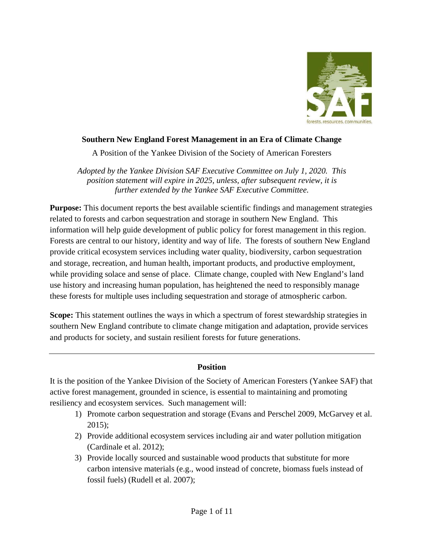

### **Southern New England Forest Management in an Era of Climate Change**

A Position of the Yankee Division of the Society of American Foresters

*Adopted by the Yankee Division SAF Executive Committee on July 1, 2020. This position statement will expire in 2025, unless, after subsequent review, it is further extended by the Yankee SAF Executive Committee.*

**Purpose:** This document reports the best available scientific findings and management strategies related to forests and carbon sequestration and storage in southern New England. This information will help guide development of public policy for forest management in this region. Forests are central to our history, identity and way of life. The forests of southern New England provide critical ecosystem services including water quality, biodiversity, carbon sequestration and storage, recreation, and human health, important products, and productive employment, while providing solace and sense of place. Climate change, coupled with New England's land use history and increasing human population, has heightened the need to responsibly manage these forests for multiple uses including sequestration and storage of atmospheric carbon.

**Scope:** This statement outlines the ways in which a spectrum of forest stewardship strategies in southern New England contribute to climate change mitigation and adaptation, provide services and products for society, and sustain resilient forests for future generations.

#### **Position**

It is the position of the Yankee Division of the Society of American Foresters (Yankee SAF) that active forest management, grounded in science, is essential to maintaining and promoting resiliency and ecosystem services. Such management will:

- 1) Promote carbon sequestration and storage (Evans and Perschel 2009, McGarvey et al. 2015);
- 2) Provide additional ecosystem services including air and water pollution mitigation (Cardinale et al. 2012);
- 3) Provide locally sourced and sustainable wood products that substitute for more carbon intensive materials (e.g., wood instead of concrete, biomass fuels instead of fossil fuels) (Rudell et al. 2007);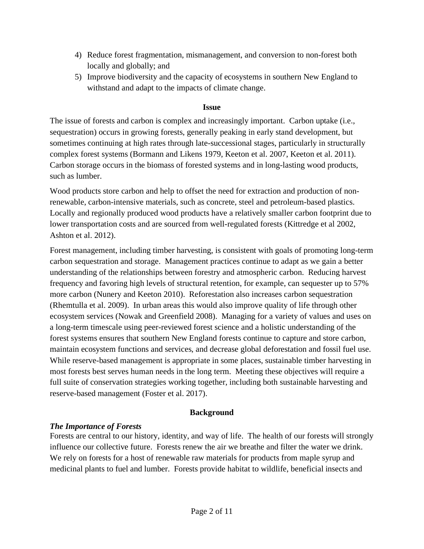- 4) Reduce forest fragmentation, mismanagement, and conversion to non-forest both locally and globally; and
- 5) Improve biodiversity and the capacity of ecosystems in southern New England to withstand and adapt to the impacts of climate change.

#### **Issue**

The issue of forests and carbon is complex and increasingly important. Carbon uptake (i.e., sequestration) occurs in growing forests, generally peaking in early stand development, but sometimes continuing at high rates through late-successional stages, particularly in structurally complex forest systems (Bormann and Likens 1979, Keeton et al. 2007, Keeton et al. 2011). Carbon storage occurs in the biomass of forested systems and in long-lasting wood products, such as lumber.

Wood products store carbon and help to offset the need for extraction and production of nonrenewable, carbon-intensive materials, such as concrete, steel and petroleum-based plastics. Locally and regionally produced wood products have a relatively smaller carbon footprint due to lower transportation costs and are sourced from well-regulated forests (Kittredge et al 2002, Ashton et al. 2012).

Forest management, including timber harvesting, is consistent with goals of promoting long-term carbon sequestration and storage. Management practices continue to adapt as we gain a better understanding of the relationships between forestry and atmospheric carbon. Reducing harvest frequency and favoring high levels of structural retention, for example, can sequester up to 57% more carbon (Nunery and Keeton 2010). Reforestation also increases carbon sequestration (Rhemtulla et al. 2009). In urban areas this would also improve quality of life through other ecosystem services (Nowak and Greenfield 2008). Managing for a variety of values and uses on a long-term timescale using peer-reviewed forest science and a holistic understanding of the forest systems ensures that southern New England forests continue to capture and store carbon, maintain ecosystem functions and services, and decrease global deforestation and fossil fuel use. While reserve-based management is appropriate in some places, sustainable timber harvesting in most forests best serves human needs in the long term. Meeting these objectives will require a full suite of conservation strategies working together, including both sustainable harvesting and reserve-based management (Foster et al. 2017).

#### **Background**

#### *The Importance of Forests*

Forests are central to our history, identity, and way of life. The health of our forests will strongly influence our collective future. Forests renew the air we breathe and filter the water we drink. We rely on forests for a host of renewable raw materials for products from maple syrup and medicinal plants to fuel and lumber. Forests provide habitat to wildlife, beneficial insects and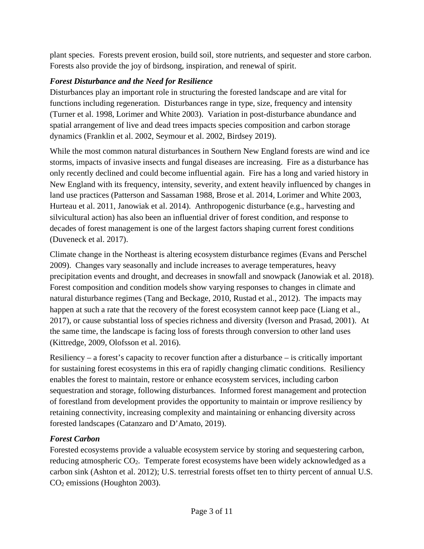plant species. Forests prevent erosion, build soil, store nutrients, and sequester and store carbon. Forests also provide the joy of birdsong, inspiration, and renewal of spirit.

## *Forest Disturbance and the Need for Resilience*

Disturbances play an important role in structuring the forested landscape and are vital for functions including regeneration. Disturbances range in type, size, frequency and intensity (Turner et al. 1998, Lorimer and White 2003). Variation in post-disturbance abundance and spatial arrangement of live and dead trees impacts species composition and carbon storage dynamics (Franklin et al. 2002, Seymour et al. 2002, Birdsey 2019).

While the most common natural disturbances in Southern New England forests are wind and ice storms, impacts of invasive insects and fungal diseases are increasing. Fire as a disturbance has only recently declined and could become influential again. Fire has a long and varied history in New England with its frequency, intensity, severity, and extent heavily influenced by changes in land use practices (Patterson and Sassaman 1988, Brose et al. 2014, Lorimer and White 2003, Hurteau et al. 2011, Janowiak et al. 2014). Anthropogenic disturbance (e.g., harvesting and silvicultural action) has also been an influential driver of forest condition, and response to decades of forest management is one of the largest factors shaping current forest conditions (Duveneck et al. 2017).

Climate change in the Northeast is altering ecosystem disturbance regimes (Evans and Perschel 2009). Changes vary seasonally and include increases to average temperatures, heavy precipitation events and drought, and decreases in snowfall and snowpack (Janowiak et al. 2018). Forest composition and condition models show varying responses to changes in climate and natural disturbance regimes (Tang and Beckage, 2010, Rustad et al., 2012). The impacts may happen at such a rate that the recovery of the forest ecosystem cannot keep pace (Liang et al., 2017), or cause substantial loss of species richness and diversity (Iverson and Prasad, 2001). At the same time, the landscape is facing loss of forests through conversion to other land uses (Kittredge, 2009, Olofsson et al. 2016).

Resiliency – a forest's capacity to recover function after a disturbance – is critically important for sustaining forest ecosystems in this era of rapidly changing climatic conditions. Resiliency enables the forest to maintain, restore or enhance ecosystem services, including carbon sequestration and storage, following disturbances. Informed forest management and protection of forestland from development provides the opportunity to maintain or improve resiliency by retaining connectivity, increasing complexity and maintaining or enhancing diversity across forested landscapes (Catanzaro and D'Amato, 2019).

# *Forest Carbon*

Forested ecosystems provide a valuable ecosystem service by storing and sequestering carbon, reducing atmospheric CO<sub>2</sub>. Temperate forest ecosystems have been widely acknowledged as a carbon sink (Ashton et al. 2012); U.S. terrestrial forests offset ten to thirty percent of annual U.S. CO2 emissions (Houghton 2003).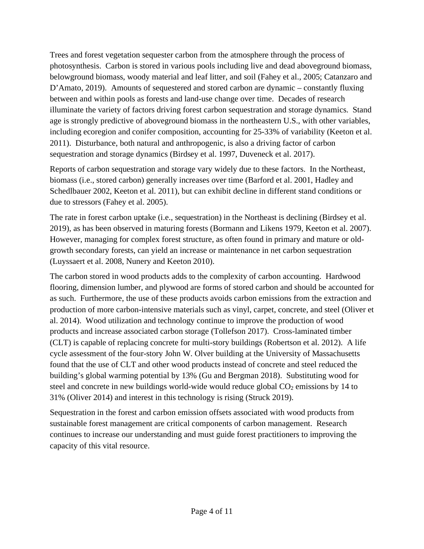Trees and forest vegetation sequester carbon from the atmosphere through the process of photosynthesis. Carbon is stored in various pools including live and dead aboveground biomass, belowground biomass, woody material and leaf litter, and soil (Fahey et al., 2005; Catanzaro and D'Amato, 2019). Amounts of sequestered and stored carbon are dynamic – constantly fluxing between and within pools as forests and land-use change over time. Decades of research illuminate the variety of factors driving forest carbon sequestration and storage dynamics. Stand age is strongly predictive of aboveground biomass in the northeastern U.S., with other variables, including ecoregion and conifer composition, accounting for 25-33% of variability (Keeton et al. 2011). Disturbance, both natural and anthropogenic, is also a driving factor of carbon sequestration and storage dynamics (Birdsey et al. 1997, Duveneck et al. 2017).

Reports of carbon sequestration and storage vary widely due to these factors. In the Northeast, biomass (i.e., stored carbon) generally increases over time (Barford et al. 2001, Hadley and Schedlbauer 2002, Keeton et al. 2011), but can exhibit decline in different stand conditions or due to stressors (Fahey et al. 2005).

The rate in forest carbon uptake (i.e., sequestration) in the Northeast is declining (Birdsey et al. 2019), as has been observed in maturing forests (Bormann and Likens 1979, Keeton et al. 2007). However, managing for complex forest structure, as often found in primary and mature or oldgrowth secondary forests, can yield an increase or maintenance in net carbon sequestration (Luyssaert et al. 2008, Nunery and Keeton 2010).

The carbon stored in wood products adds to the complexity of carbon accounting. Hardwood flooring, dimension lumber, and plywood are forms of stored carbon and should be accounted for as such. Furthermore, the use of these products avoids carbon emissions from the extraction and production of more carbon-intensive materials such as vinyl, carpet, concrete, and steel (Oliver et al. 2014). Wood utilization and technology continue to improve the production of wood products and increase associated carbon storage (Tollefson 2017). Cross-laminated timber (CLT) is capable of replacing concrete for multi-story buildings (Robertson et al. 2012). A life cycle assessment of the four-story John W. Olver building at the University of Massachusetts found that the use of CLT and other wood products instead of concrete and steel reduced the building's global warming potential by 13% (Gu and Bergman 2018). Substituting wood for steel and concrete in new buildings world-wide would reduce global  $CO<sub>2</sub>$  emissions by 14 to 31% (Oliver 2014) and interest in this technology is rising (Struck 2019).

Sequestration in the forest and carbon emission offsets associated with wood products from sustainable forest management are critical components of carbon management. Research continues to increase our understanding and must guide forest practitioners to improving the capacity of this vital resource.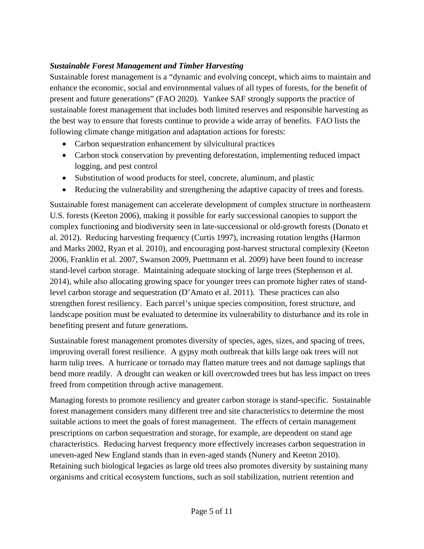## *Sustainable Forest Management and Timber Harvesting*

Sustainable forest management is a "dynamic and evolving concept, which aims to maintain and enhance the economic, social and environmental values of all types of forests, for the benefit of present and future generations" (FAO 2020). Yankee SAF strongly supports the practice of sustainable forest management that includes both limited reserves and responsible harvesting as the best way to ensure that forests continue to provide a wide array of benefits. FAO lists the following climate change mitigation and adaptation actions for forests:

- Carbon sequestration enhancement by silvicultural practices
- Carbon stock conservation by preventing deforestation, implementing reduced impact logging, and pest control
- Substitution of wood products for steel, concrete, aluminum, and plastic
- Reducing the vulnerability and strengthening the adaptive capacity of trees and forests.

Sustainable forest management can accelerate development of complex structure in northeastern U.S. forests (Keeton 2006), making it possible for early successional canopies to support the complex functioning and biodiversity seen in late-successional or old-growth forests (Donato et al. 2012). Reducing harvesting frequency (Curtis 1997), increasing rotation lengths (Harmon and Marks 2002, Ryan et al. 2010), and encouraging post-harvest structural complexity (Keeton 2006, Franklin et al. 2007, Swanson 2009, Puettmann et al. 2009) have been found to increase stand-level carbon storage. Maintaining adequate stocking of large trees (Stephenson et al. 2014), while also allocating growing space for younger trees can promote higher rates of standlevel carbon storage and sequestration (D'Amato et al. 2011). These practices can also strengthen forest resiliency. Each parcel's unique species composition, forest structure, and landscape position must be evaluated to determine its vulnerability to disturbance and its role in benefiting present and future generations.

Sustainable forest management promotes diversity of species, ages, sizes, and spacing of trees, improving overall forest resilience. A gypsy moth outbreak that kills large oak trees will not harm tulip trees. A hurricane or tornado may flatten mature trees and not damage saplings that bend more readily. A drought can weaken or kill overcrowded trees but has less impact on trees freed from competition through active management.

Managing forests to promote resiliency and greater carbon storage is stand-specific. Sustainable forest management considers many different tree and site characteristics to determine the most suitable actions to meet the goals of forest management. The effects of certain management prescriptions on carbon sequestration and storage, for example, are dependent on stand age characteristics. Reducing harvest frequency more effectively increases carbon sequestration in uneven-aged New England stands than in even-aged stands (Nunery and Keeton 2010). Retaining such biological legacies as large old trees also promotes diversity by sustaining many organisms and critical ecosystem functions, such as soil stabilization, nutrient retention and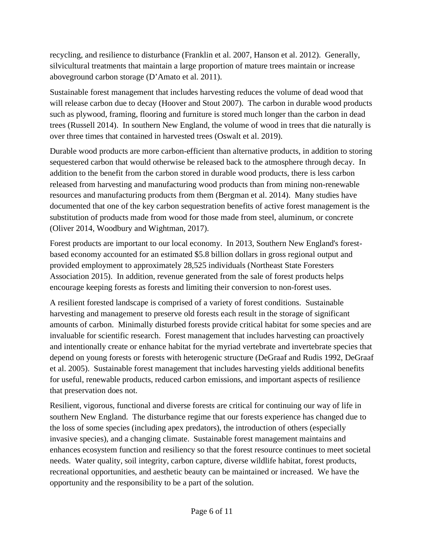recycling, and resilience to disturbance (Franklin et al. 2007, Hanson et al. 2012). Generally, silvicultural treatments that maintain a large proportion of mature trees maintain or increase aboveground carbon storage (D'Amato et al. 2011).

Sustainable forest management that includes harvesting reduces the volume of dead wood that will release carbon due to decay (Hoover and Stout 2007). The carbon in durable wood products such as plywood, framing, flooring and furniture is stored much longer than the carbon in dead trees (Russell 2014). In southern New England, the volume of wood in trees that die naturally is over three times that contained in harvested trees (Oswalt et al. 2019).

Durable wood products are more carbon-efficient than alternative products, in addition to storing sequestered carbon that would otherwise be released back to the atmosphere through decay. In addition to the benefit from the carbon stored in durable wood products, there is less carbon released from harvesting and manufacturing wood products than from mining non-renewable resources and manufacturing products from them (Bergman et al. 2014). Many studies have documented that one of the key carbon sequestration benefits of active forest management is the substitution of products made from wood for those made from steel, aluminum, or concrete (Oliver 2014, Woodbury and Wightman, 2017).

Forest products are important to our local economy. In 2013, Southern New England's forestbased economy accounted for an estimated \$5.8 billion dollars in gross regional output and provided employment to approximately 28,525 individuals (Northeast State Foresters Association 2015). In addition, revenue generated from the sale of forest products helps encourage keeping forests as forests and limiting their conversion to non-forest uses.

A resilient forested landscape is comprised of a variety of forest conditions. Sustainable harvesting and management to preserve old forests each result in the storage of significant amounts of carbon. Minimally disturbed forests provide critical habitat for some species and are invaluable for scientific research. Forest management that includes harvesting can proactively and intentionally create or enhance habitat for the myriad vertebrate and invertebrate species that depend on young forests or forests with heterogenic structure (DeGraaf and Rudis 1992, DeGraaf et al. 2005). Sustainable forest management that includes harvesting yields additional benefits for useful, renewable products, reduced carbon emissions, and important aspects of resilience that preservation does not.

Resilient, vigorous, functional and diverse forests are critical for continuing our way of life in southern New England. The disturbance regime that our forests experience has changed due to the loss of some species (including apex predators), the introduction of others (especially invasive species), and a changing climate. Sustainable forest management maintains and enhances ecosystem function and resiliency so that the forest resource continues to meet societal needs. Water quality, soil integrity, carbon capture, diverse wildlife habitat, forest products, recreational opportunities, and aesthetic beauty can be maintained or increased. We have the opportunity and the responsibility to be a part of the solution.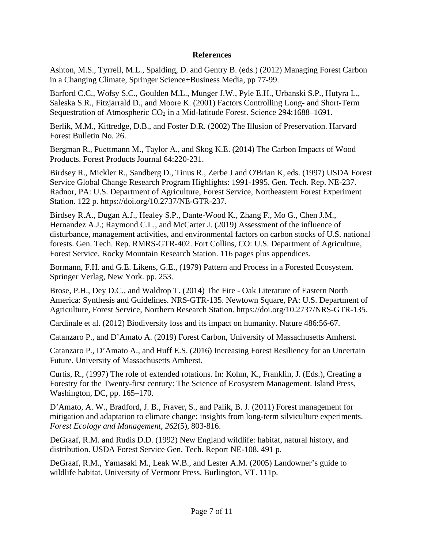#### **References**

Ashton, M.S., Tyrrell, M.L., Spalding, D. and Gentry B. (eds.) (2012) Managing Forest Carbon in a Changing Climate, Springer Science+Business Media, pp 77-99.

Barford C.C., Wofsy S.C., Goulden M.L., Munger J.W., Pyle E.H., Urbanski S.P., Hutyra L., Saleska S.R., Fitzjarrald D., and Moore K. (2001) Factors Controlling Long- and Short-Term Sequestration of Atmospheric  $CO<sub>2</sub>$  in a Mid-latitude Forest. Science 294:1688–1691.

Berlik, M.M., Kittredge, D.B., and Foster D.R. (2002) The Illusion of Preservation. Harvard Forest Bulletin No. 26.

Bergman R., Puettmann M., Taylor A., and Skog K.E. (2014) The Carbon Impacts of Wood Products. Forest Products Journal 64:220-231.

Birdsey R., Mickler R., Sandberg D., Tinus R., Zerbe J and O'Brian K, eds. (1997) USDA Forest Service Global Change Research Program Highlights: 1991-1995. Gen. Tech. Rep. NE-237. Radnor, PA: U.S. Department of Agriculture, Forest Service, Northeastern Forest Experiment Station. 122 p. https://doi.org/10.2737/NE-GTR-237.

Birdsey R.A., Dugan A.J., Healey S.P., Dante-Wood K., Zhang F., Mo G., Chen J.M., Hernandez A.J.; Raymond C.L., and McCarter J. (2019) Assessment of the influence of disturbance, management activities, and environmental factors on carbon stocks of U.S. national forests. Gen. Tech. Rep. RMRS-GTR-402. Fort Collins, CO: U.S. Department of Agriculture, Forest Service, Rocky Mountain Research Station. 116 pages plus appendices.

Bormann, F.H. and G.E. Likens, G.E., (1979) Pattern and Process in a Forested Ecosystem. Springer Verlag, New York. pp. 253.

Brose, P.H., Dey D.C., and Waldrop T. (2014) The Fire - Oak Literature of Eastern North America: Synthesis and Guidelines. NRS-GTR-135. Newtown Square, PA: U.S. Department of Agriculture, Forest Service, Northern Research Station. https://doi.org/10.2737/NRS-GTR-135.

Cardinale et al. (2012) Biodiversity loss and its impact on humanity. Nature 486:56-67.

Catanzaro P., and D'Amato A. (2019) Forest Carbon, University of Massachusetts Amherst.

Catanzaro P., D'Amato A., and Huff E.S. (2016) Increasing Forest Resiliency for an Uncertain Future. University of Massachusetts Amherst.

Curtis, R., (1997) The role of extended rotations. In: Kohm, K., Franklin, J. (Eds.), Creating a Forestry for the Twenty-first century: The Science of Ecosystem Management. Island Press, Washington, DC, pp. 165–170.

D'Amato, A. W., Bradford, J. B., Fraver, S., and Palik, B. J. (2011) Forest management for mitigation and adaptation to climate change: insights from long-term silviculture experiments. *Forest Ecology and Management*, *262*(5), 803-816.

DeGraaf, R.M. and Rudis D.D. (1992) New England wildlife: habitat, natural history, and distribution. USDA Forest Service Gen. Tech. Report NE-108. 491 p.

DeGraaf, R.M., Yamasaki M., Leak W.B., and Lester A.M. (2005) Landowner's guide to wildlife habitat. University of Vermont Press. Burlington, VT. 111p.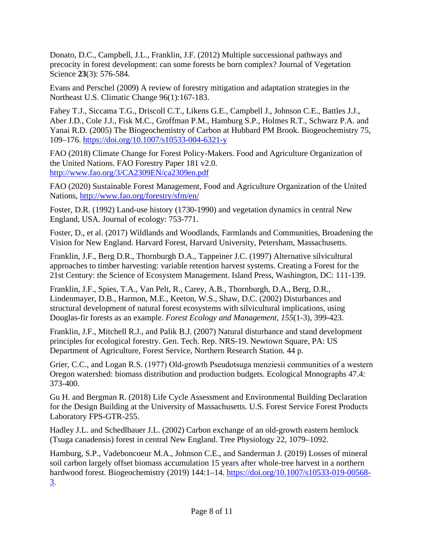Donato, D.C., Campbell, J.L., Franklin, J.F. (2012) Multiple successional pathways and precocity in forest development: can some forests be born complex? Journal of Vegetation Science **23**(3): 576-584.

Evans and Perschel (2009) A review of forestry mitigation and adaptation strategies in the Northeast U.S. [Climatic Change](https://www.researchgate.net/journal/1573-1480_Climatic_Change) 96(1):167-183.

Fahey T.J., Siccama T.G., Driscoll C.T., Likens G.E., Campbell J., Johnson C.E., Battles J.J., Aber J.D., Cole J.J., Fisk M.C., Groffman P.M., Hamburg S.P., Holmes R.T., Schwarz P.A. and Yanai R.D. (2005) The Biogeochemistry of Carbon at Hubbard PM Brook. Biogeochemistry 75, 109–176.<https://doi.org/10.1007/s10533-004-6321-y>

FAO (2018) Climate Change for Forest Policy-Makers. Food and Agriculture Organization of the United Nations. FAO Forestry Paper 181 v2.0. <http://www.fao.org/3/CA2309EN/ca2309en.pdf>

FAO (2020) Sustainable Forest Management, Food and Agriculture Organization of the United Nations,<http://www.fao.org/forestry/sfm/en/>

Foster, D.R. (1992) Land-use history (1730-1990) and vegetation dynamics in central New England, USA. Journal of ecology: 753-771.

Foster, D., et al. (2017) Wildlands and Woodlands, Farmlands and Communities, Broadening the Vision for New England. Harvard Forest, Harvard University, Petersham, Massachusetts.

Franklin, J.F., Berg D.R., Thornburgh D.A., Tappeiner J.C. (1997) Alternative silvicultural approaches to timber harvesting: variable retention harvest systems. Creating a Forest for the 21st Century: the Science of Ecosystem Management. Island Press, Washington, DC: 111-139.

Franklin, J.F., Spies, T.A., Van Pelt, R., Carey, A.B., Thornburgh, D.A., Berg, D.R., Lindenmayer, D.B., Harmon, M.E., Keeton, W.S., Shaw, D.C. (2002) Disturbances and structural development of natural forest ecosystems with silvicultural implications, using Douglas-fir forests as an example. *Forest Ecology and Management, 155*(1-3), 399-423.

Franklin, J.F., Mitchell R.J., and Palik B.J. (2007) Natural disturbance and stand development principles for ecological forestry. Gen. Tech. Rep. NRS-19. Newtown Square, PA: US Department of Agriculture, Forest Service, Northern Research Station. 44 p.

Grier, C.C., and Logan R.S. (1977) Old‐growth Pseudotsuga menziesii communities of a western Oregon watershed: biomass distribution and production budgets. Ecological Monographs 47.4: 373-400.

Gu H. and Bergman R. (2018) Life Cycle Assessment and Environmental Building Declaration for the Design Building at the University of Massachusetts. U.S. Forest Service Forest Products Laboratory FPS-GTR-255.

Hadley J.L. and Schedlbauer J.L. (2002) Carbon exchange of an old-growth eastern hemlock (Tsuga canadensis) forest in central New England. Tree Physiology 22, 1079–1092.

Hamburg, S.P., Vadeboncoeur M.A., Johnson C.E., and Sanderman J. (2019) Losses of mineral soil carbon largely offset biomass accumulation 15 years after whole-tree harvest in a northern hardwood forest. Biogeochemistry (2019) 144:1–14. [https://doi.org/10.1007/s10533-019-00568-](https://doi.org/10.1007/s10533-019-00568-3) [3.](https://doi.org/10.1007/s10533-019-00568-3)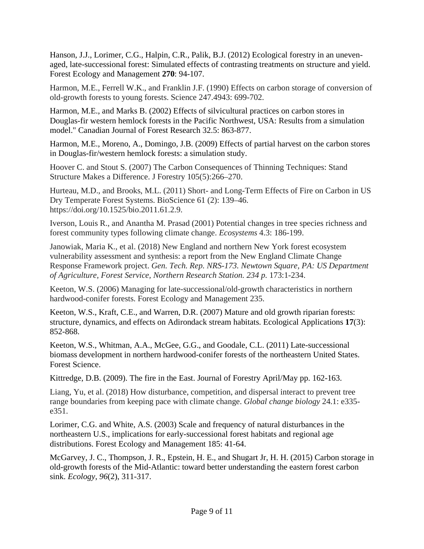Hanson, J.J., Lorimer, C.G., Halpin, C.R., Palik, B.J. (2012) Ecological forestry in an unevenaged, late-successional forest: Simulated effects of contrasting treatments on structure and yield. Forest Ecology and Management **270**: 94-107.

Harmon, M.E., Ferrell W.K., and Franklin J.F. (1990) Effects on carbon storage of conversion of old-growth forests to young forests. Science 247.4943: 699-702.

Harmon, M.E., and Marks B. (2002) Effects of silvicultural practices on carbon stores in Douglas-fir western hemlock forests in the Pacific Northwest, USA: Results from a simulation model." Canadian Journal of Forest Research 32.5: 863-877.

Harmon, M.E., Moreno, A., Domingo, J.B. (2009) Effects of partial harvest on the carbon stores in Douglas-fir/western hemlock forests: a simulation study.

Hoover C. and Stout S. (2007) The Carbon Consequences of Thinning Techniques: Stand Structure Makes a Difference. J Forestry 105(5):266–270.

Hurteau, M.D., and Brooks, M.L. (2011) Short- and Long-Term Effects of Fire on Carbon in US Dry Temperate Forest Systems. BioScience 61 (2): 139–46. https://doi.org/10.1525/bio.2011.61.2.9.

Iverson, Louis R., and Anantha M. Prasad (2001) Potential changes in tree species richness and forest community types following climate change. *Ecosystems* 4.3: 186-199.

Janowiak, Maria K., et al. (2018) New England and northern New York forest ecosystem vulnerability assessment and synthesis: a report from the New England Climate Change Response Framework project. *Gen. Tech. Rep. NRS-173. Newtown Square, PA: US Department of Agriculture, Forest Service, Northern Research Station. 234 p.* 173:1-234.

Keeton, W.S. (2006) Managing for late-successional/old-growth characteristics in northern hardwood-conifer forests. Forest Ecology and Management 235.

Keeton, W.S., Kraft, C.E., and Warren, D.R. (2007) Mature and old growth riparian forests: structure, dynamics, and effects on Adirondack stream habitats. Ecological Applications **17**(3): 852-868.

Keeton, W.S., Whitman, A.A., McGee, G.G., and Goodale, C.L. (2011) Late-successional biomass development in northern hardwood-conifer forests of the northeastern United States. Forest Science.

Kittredge, D.B. (2009). The fire in the East. Journal of Forestry April/May pp. 162-163.

Liang, Yu, et al. (2018) How disturbance, competition, and dispersal interact to prevent tree range boundaries from keeping pace with climate change. *Global change biology* 24.1: e335 e351.

Lorimer, C.G. and White, A.S. (2003) Scale and frequency of natural disturbances in the northeastern U.S., implications for early-successional forest habitats and regional age distributions. Forest Ecology and Management 185: 41-64.

McGarvey, J. C., Thompson, J. R., Epstein, H. E., and Shugart Jr, H. H. (2015) Carbon storage in old-growth forests of the Mid-Atlantic: toward better understanding the eastern forest carbon sink. *Ecology*, *96*(2), 311-317.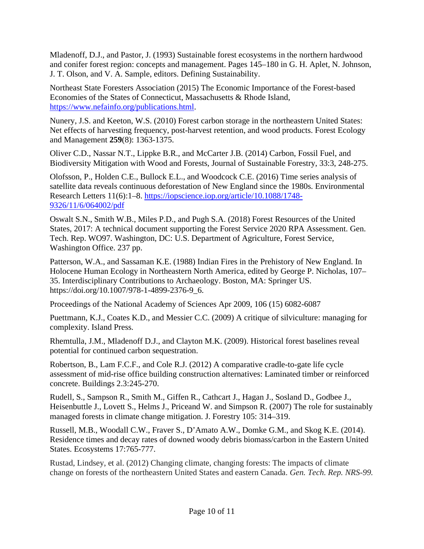Mladenoff, D.J., and Pastor, J. (1993) Sustainable forest ecosystems in the northern hardwood and conifer forest region: concepts and management. Pages 145–180 in G. H. Aplet, N. Johnson, J. T. Olson, and V. A. Sample, editors. Defining Sustainability.

Northeast State Foresters Association (2015) The Economic Importance of the Forest-based Economies of the States of Connecticut, Massachusetts & Rhode Island, [https://www.nefainfo.org/publications.html.](https://www.nefainfo.org/publications.html)

Nunery, J.S. and Keeton, W.S. (2010) Forest carbon storage in the northeastern United States: Net effects of harvesting frequency, post-harvest retention, and wood products. Forest Ecology and Management **259**(8): 1363-1375.

Oliver C.D., Nassar N.T., Lippke B.R., and McCarter J.B. (2014) Carbon, Fossil Fuel, and Biodiversity Mitigation with Wood and Forests, Journal of Sustainable Forestry, 33:3, 248-275.

Olofsson, P., Holden C.E., Bullock E.L., and Woodcock C.E. (2016) Time series analysis of satellite data reveals continuous deforestation of New England since the 1980s. Environmental Research Letters 11(6):1–8. [https://iopscience.iop.org/article/10.1088/1748-](https://iopscience.iop.org/article/10.1088/1748-9326/11/6/064002/pdf) [9326/11/6/064002/pdf](https://iopscience.iop.org/article/10.1088/1748-9326/11/6/064002/pdf)

Oswalt S.N., Smith W.B., Miles P.D., and Pugh S.A. (2018) Forest Resources of the United States, 2017: A technical document supporting the Forest Service 2020 RPA Assessment. Gen. Tech. Rep. WO97. Washington, DC: U.S. Department of Agriculture, Forest Service, Washington Office. 237 pp.

Patterson, W.A., and Sassaman K.E. (1988) Indian Fires in the Prehistory of New England. In Holocene Human Ecology in Northeastern North America, edited by George P. Nicholas, 107– 35. Interdisciplinary Contributions to Archaeology. Boston, MA: Springer US. https://doi.org/10.1007/978-1-4899-2376-9\_6.

Proceedings of the National Academy of Sciences Apr 2009, 106 (15) 6082-6087

Puettmann, K.J., Coates K.D., and Messier C.C. (2009) A critique of silviculture: managing for complexity. Island Press.

Rhemtulla, J.M., Mladenoff D.J., and Clayton M.K. (2009). Historical forest baselines reveal potential for continued carbon sequestration.

Robertson, B., Lam F.C.F., and Cole R.J. (2012) A comparative cradle-to-gate life cycle assessment of mid-rise office building construction alternatives: Laminated timber or reinforced concrete. Buildings 2.3:245-270.

Rudell, S., Sampson R., Smith M., Giffen R., Cathcart J., Hagan J., Sosland D., Godbee J., Heisenbuttle J., Lovett S., Helms J., Priceand W. and Simpson R. (2007) The role for sustainably managed forests in climate change mitigation. J. Forestry 105: 314–319.

Russell, M.B., Woodall C.W., Fraver S., D'Amato A.W., Domke G.M., and Skog K.E. (2014). Residence times and decay rates of downed woody debris biomass/carbon in the Eastern United States. Ecosystems 17:765-777.

Rustad, Lindsey, et al. (2012) Changing climate, changing forests: The impacts of climate change on forests of the northeastern United States and eastern Canada. *Gen. Tech. Rep. NRS-99.*